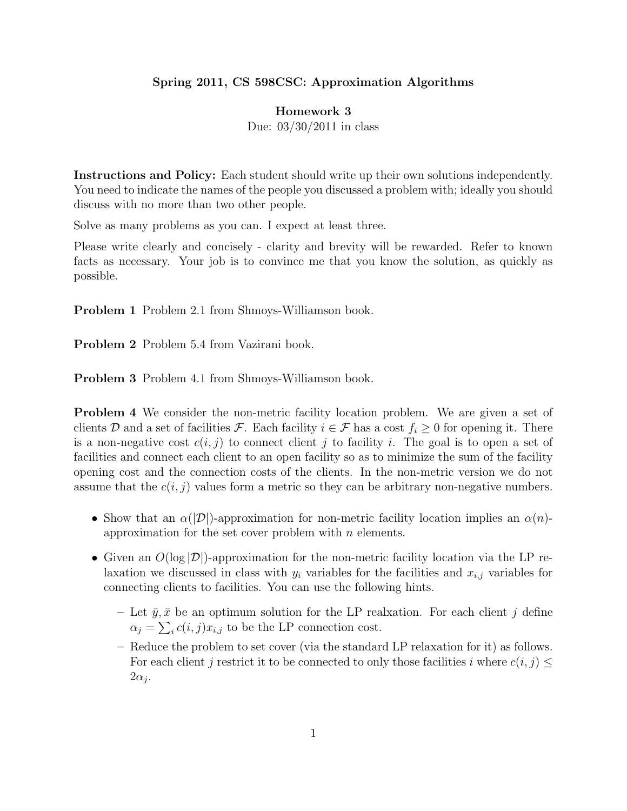## Spring 2011, CS 598CSC: Approximation Algorithms

## Homework 3

Due: 03/30/2011 in class

Instructions and Policy: Each student should write up their own solutions independently. You need to indicate the names of the people you discussed a problem with; ideally you should discuss with no more than two other people.

Solve as many problems as you can. I expect at least three.

Please write clearly and concisely - clarity and brevity will be rewarded. Refer to known facts as necessary. Your job is to convince me that you know the solution, as quickly as possible.

Problem 1 Problem 2.1 from Shmoys-Williamson book.

Problem 2 Problem 5.4 from Vazirani book.

Problem 3 Problem 4.1 from Shmoys-Williamson book.

Problem 4 We consider the non-metric facility location problem. We are given a set of clients D and a set of facilities F. Each facility  $i \in \mathcal{F}$  has a cost  $f_i \geq 0$  for opening it. There is a non-negative cost  $c(i, j)$  to connect client j to facility i. The goal is to open a set of facilities and connect each client to an open facility so as to minimize the sum of the facility opening cost and the connection costs of the clients. In the non-metric version we do not assume that the  $c(i, j)$  values form a metric so they can be arbitrary non-negative numbers.

- Show that an  $\alpha(|\mathcal{D}|)$ -approximation for non-metric facility location implies an  $\alpha(n)$ approximation for the set cover problem with  $n$  elements.
- Given an  $O(\log |D|)$ -approximation for the non-metric facility location via the LP relaxation we discussed in class with  $y_i$  variables for the facilities and  $x_{i,j}$  variables for connecting clients to facilities. You can use the following hints.
	- Let  $\bar{y}, \bar{x}$  be an optimum solution for the LP realxation. For each client j define  $\alpha_j = \sum_i c(i, j)x_{i,j}$  to be the LP connection cost.
	- Reduce the problem to set cover (via the standard LP relaxation for it) as follows. For each client j restrict it to be connected to only those facilities i where  $c(i, j) \leq$  $2\alpha_j$ .